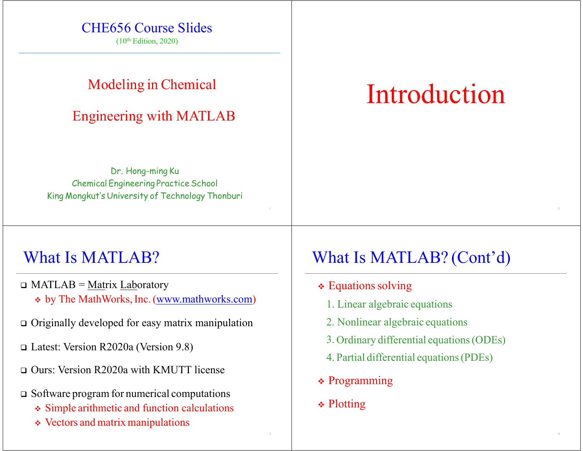#### CHE656 Course Slides

 $(10<sup>th</sup> Edition, 2020)$ 

#### Modeling in Chemical

#### Engineering with MATLAB

Introduction

Dr. Hong-ming Ku Chemical Engineering Practice School King Mongkut's University of Technology Thonburi

### What Is MATLAB?

- □ MATLAB = <u>Mat</u>rix Laboratory \* by The MathWorks, Inc. (www.mathworks.com)
- Originally developed for easy matrix manipulation
- Latest: Version R2020a (Version 9.8)
- Ours: Version R2020a with KMUTT license
- Software program for numerical computations
	- Simple arithmetic and function calculations
	- Vectors and matrix manipulations

# What Is MATLAB? (Cont'd)

- $\div$  Equations solving
	- 1. Linear algebraic equations
	- 2. Nonlinear algebraic equations
	- 3. Ordinary differential equations(ODEs)
	- 4. Partial differential equations(PDEs)
- Programming
- **❖ Plotting**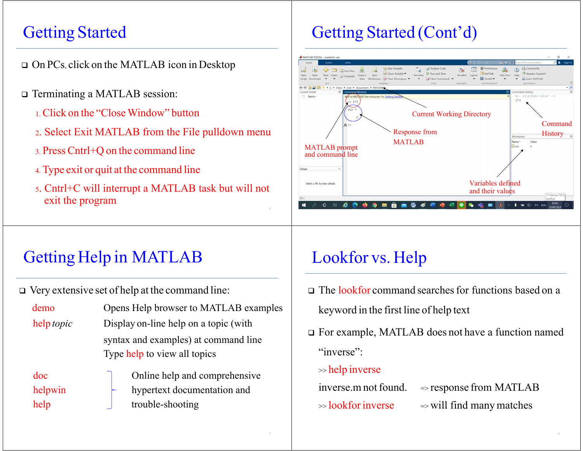# Getting Started

- On PCs, click on the MATLAB icon in Desktop
- Terminating a MATLAB session:
	- 1. Click on the "Close Window" button
	- <sup>2</sup>. Select Exit MATLAB from the File pulldown menu
	- 3. PressCntrl+Q on the command line
	- 4. Type exit or quit at the command line
	- <sup>5</sup>. Cntrl+C will interrupt a MATLAB task but will not exit the program

# Getting Started (Cont'd)



# Getting Help in MATLAB

Very extensive set of help at the command line:

help trouble-shooting

| demo              | Opens Help browser to MATLAB examples                                |  |  |
|-------------------|----------------------------------------------------------------------|--|--|
| help <i>topic</i> | Display on-line help on a topic (with                                |  |  |
|                   | syntax and examples) at command line<br>Type help to view all topics |  |  |
| doc               | Online help and comprehensive                                        |  |  |
| helpwin           | hypertext documentation and                                          |  |  |

# keyword in the first line of help text

 For example, MATLAB does not have a function named "inverse":

The lookfor command searchesfor functions based on <sup>a</sup>

#### >> help inverse

inverse.m not found.

Lookfor vs. Help

>> lookforinverse

 $\Rightarrow$  will find many matches

 $\Rightarrow$  response from MATLAB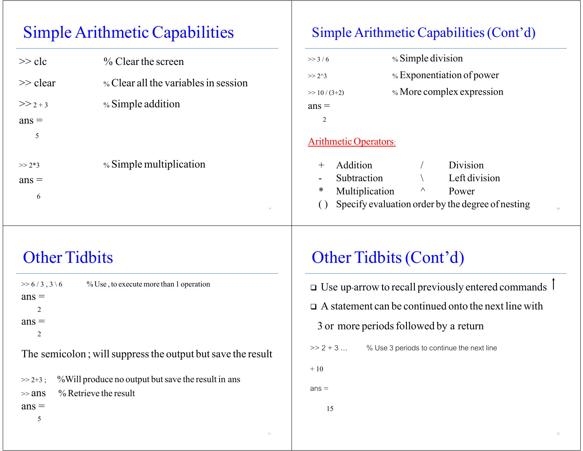# Simple Arithmetic Capabilities

| $>>$ clc    | $\%$ Clear the screen                |
|-------------|--------------------------------------|
| $\gg$ clear | % Clear all the variables in session |
| $>> 2 + 3$  | % Simple addition                    |
| $ans =$     |                                      |
| 5           |                                      |
|             |                                      |
| $>> 2*3$    | % Simple multiplication              |
| $ans =$     |                                      |
| 6           |                                      |

#### Simple Arithmetic Capabilities(Cont'd)

| $>>$ 3/6       | % Simple division         |
|----------------|---------------------------|
| $>> 2^{2}3$    | % Exponentiation of power |
| $\gg 10/(3+2)$ | % More complex expression |
| $ans =$        |                           |
| $\mathcal{D}$  |                           |
|                |                           |

#### Arithmetic Operators:

| + Addition                                           |          | Division      |  |
|------------------------------------------------------|----------|---------------|--|
| - Subtraction                                        |          | Left division |  |
| * Multiplication                                     | $\wedge$ | Power         |  |
| () Specify evaluation order by the degree of nesting |          |               |  |

# Other Tidbits

| $>> 6/3, 3 \setminus 6$ | % Use, to execute more than 1 operation                     |
|-------------------------|-------------------------------------------------------------|
| $ans =$                 |                                                             |
|                         |                                                             |
| $ans =$                 |                                                             |
|                         |                                                             |
|                         | The semicolon; will suppress the output but save the result |

|         | $\gg$ 2+3; %Will produce no output but save the result in ans |
|---------|---------------------------------------------------------------|
|         | $\gg$ ans $\%$ Retrieve the result                            |
| $ans =$ |                                                               |

# Other Tidbits(Cont'd)

 Use up-arrow to recall previously entered commands  $\Box$  A statement can be continued onto the next line with 3 or more periods followed by a return  $>> 2 + 3 ...$ % Use 3 periods to continue the next line  $+10$  $ans =$ 15

5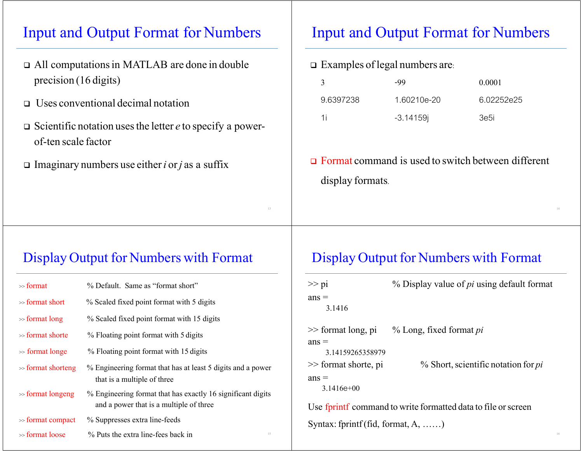#### Input and Output Format for Numbers

- All computationsin MATLAB are done in double precision (16 digits)
- Uses conventional decimal notation
- Scientific notation usesthe letter *<sup>e</sup>* to specify a powerof-ten scale factor
- Imaginary numbers use either*i* or*j* as a suffix

#### Input and Output Format for Numbers

 $\Box$  Examples of legal numbers are:

|           | -99         | 0.0001     |
|-----------|-------------|------------|
| 9.6397238 | 1.60210e-20 | 6.02252e25 |
| 1i        | $-3.14159$  | 3e5i       |

 $\Box$  Format command is used to switch between different display formats.

Display Output for Numbers with Format

#### Display Output for Numbers with Format

| $\gg$ format          | % Default. Same as "format short"                                                                      | $\gg$ pi                              | $%$ Display value of <i>pi</i> using default format           |
|-----------------------|--------------------------------------------------------------------------------------------------------|---------------------------------------|---------------------------------------------------------------|
| $\gg$ format short    | % Scaled fixed point format with 5 digits                                                              | $ans =$<br>3.1416                     |                                                               |
| $\gg$ format long     | % Scaled fixed point format with 15 digits                                                             |                                       |                                                               |
| $\gg$ format shorte   | % Floating point format with 5 digits                                                                  | $\gg$ format long, pi<br>$ans =$      | % Long, fixed format pi                                       |
| $\gg$ format longe    | % Floating point format with 15 digits                                                                 | 3.14159265358979                      |                                                               |
| $\gg$ format shorteng | % Engineering format that has at least 5 digits and a power<br>that is a multiple of three             | $\gg$ format shorte, pi<br>$ans =$    | $%$ Short, scientific notation for <i>pi</i>                  |
| $\gg$ format longeng  | % Engineering format that has exactly 16 significant digits<br>and a power that is a multiple of three | $3.1416e+00$                          | Use fprintf command to write formatted data to file or screen |
| $\gg$ format compact  | % Suppresses extra line-feeds                                                                          | Syntax: fprintf (fid, format, $A$ , ) |                                                               |
| $\gg$ format loose    | % Puts the extra line-fees back in<br>15                                                               |                                       |                                                               |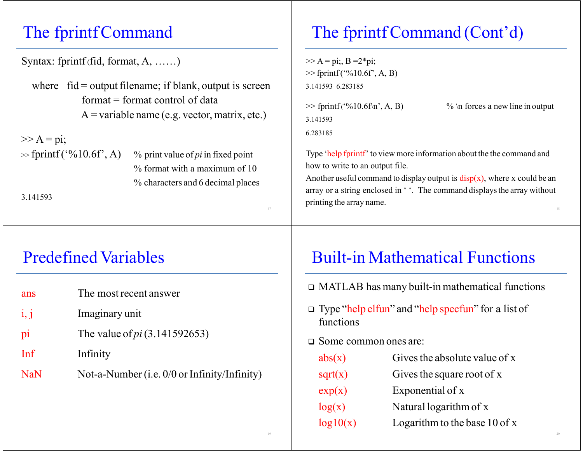# The fprintfCommand

Syntax: fprintf (fid, format, A, ……)

where  $fi =$  output filename; if blank, output is screen  $format = format control of data$ A = variable name (e.g. vector, matrix, etc.)

 $>> A = pi;$ 

 $\gg$  fprintf('%10.6f', A) % print value of *pi* in fixed point % format with a maximum of 10 % characters and 6 decimal places

3.141593

## Predefined Variables

| ans        | The most recent answer                         |
|------------|------------------------------------------------|
| i, j       | Imaginary unit                                 |
| pi         | The value of <i>pi</i> $(3.141592653)$         |
| Inf        | Infinity                                       |
| <b>NaN</b> | Not-a-Number (i.e. $0/0$ or Infinity/Infinity) |

# The fprintf Command (Cont'd)

 $>> A = \pi i$ ; B = 2\*pi; >> fprintf ('%10.6f', A, B) 3.141593 6.283185

3.141593

 $\gg$  fprintf ('%10.6f\n', A, B) % \n forces a new line in output

6.283185

Type 'help fprintf' to view more information about the the command and how to write to an output file.

Another useful command to display output is  $\text{disp}(x)$ , where x could be an array or a string enclosed in ''. The command displays the array without printing the array name.

### Built-in Mathematical Functions

MATLAB has many built-in mathematical functions

 Type "help elfun" and "help specfun" for a list of functions

Some common ones are:

| abs(x)   | Gives the absolute value of x   |
|----------|---------------------------------|
| sqrt(x)  | Gives the square root of x      |
| exp(x)   | Exponential of x                |
| log(x)   | Natural logarithm of x          |
| log10(x) | Logarithm to the base $10$ of x |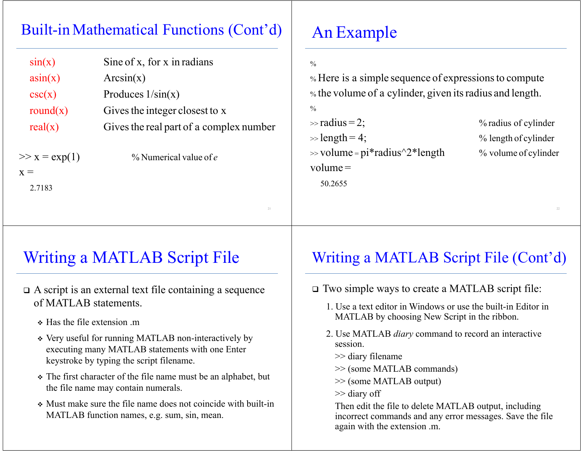### Built-in Mathematical Functions (Cont'd)

| sin(x)          | Sine of x, for x in radians             |
|-----------------|-----------------------------------------|
| asin(x)         | Arcsin(x)                               |
| csc(x)          | Produces $1/\sin(x)$                    |
| round $(x)$     | Gives the integer closest to x          |
| real(x)         | Gives the real part of a complex number |
| $>> x = exp(1)$ | % Numerical value of $e$                |
| $x =$           |                                         |

An Example

#### $\frac{0}{0}$

% Here is a simple sequence of expressionsto compute  $\%$  the volume of a cylinder, given its radius and length.

#### $\frac{0}{0}$

50.2655

>> radius <sup>=</sup> $\gg$  length = 4;  $\%$  length of cylinder  $\gg$  volume = pi\*radius^2\*length % volume of cylinder volume <sup>=</sup>

2; % radius of cylinder

## Writing a MATLAB Script File

- A script is an external text file containing a sequence of MATLAB statements.
	- Has the file extension .m

2.7183

- Very useful for running MATLAB non-interactively by executing many MATLAB statements with one Enter keystroke by typing the script filename.
- The first character of the file name must be an alphabet, but the file name may contain numerals.
- Must make sure the file name does not coincide with built-in MATLAB function names, e.g. sum, sin, mean.

#### Writing a MATLAB Script File (Cont'd)

- Two simple ways to create a MATLAB script file:
	- 1. Use a text editor in Windows or use the built-in Editor in MATLAB by choosing New Script in the ribbon.
	- 2. Use MATLAB *diary* command to record an interactive session.
		- >> diary filename
		- >> (some MATLAB commands)
		- >> (some MATLAB output)
		- >> diary off

Then edit the file to delete MATLAB output, including incorrect commands and any error messages. Save the file again with the extension .m.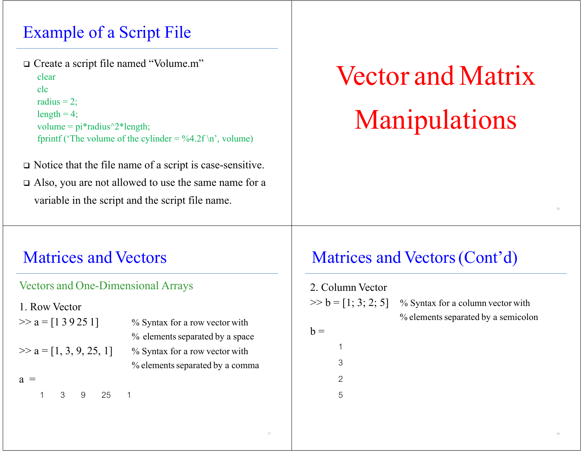# Example of a Script File

Create a script file named "Volume.m"

clearclcradius  $= 2$ ;  $length = 4$ ; volume =  $pi*radius^2*length;$ fprintf ('The volume of the cylinder =  $\%4.2f \n\cdot n$ ', volume)

- Notice that the file name of a script is case-sensitive.
- Also, you are not allowed to use the same name for a variable in the script and the script file name.

# Vector and Matrix Manipulations

### Matrices and Vectors

#### Vectors and One-Dimensional Arrays

1. Row Vector

 $\gg$  a = [1 3 9 25 1] % Syntax for a row vector with  $\%$  elements separated by a space  $\gg$  a = [1, 3, 9, 25, 1] % Syntax for a row vector with % elements separated by a comma

 $a =$ 

1 3 9 25 1

### Matrices and Vectors(Cont'd)

2. Column Vector  $\gg b = [1; 3; 2; 5]$  % Syntax for a column vector with  $\%$  elements separated by a semicolon  $h =$ 13 $\mathfrak{D}$ 5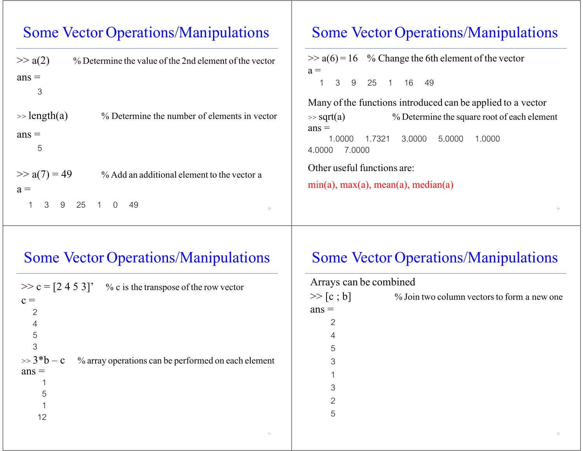#### Some Vector Operations/Manipulations

| $\gg$ a(2)<br>$ans =$<br>3 | % Determine the value of the 2nd element of the vector | $\gg$ a(6) = 16 % Change the 6th element of the vector<br>$a =$<br>25 1<br>16 49<br>3<br>9 |
|----------------------------|--------------------------------------------------------|--------------------------------------------------------------------------------------------|
|                            |                                                        | Many of the functions introduced can be applied to a vector                                |
| $\gg$ length(a)            | % Determine the number of elements in vector           | % Determine the square root of each element<br>$\gg$ sqrt(a)<br>$ans =$                    |
| $ans =$<br>5               |                                                        | 1.7321<br>5.0000<br>1.0000<br>3.0000<br>1.0000<br>7.0000<br>4.0000                         |
| $\gg$ a(7) = 49            | % Add an additional element to the vector a            | Other useful functions are:                                                                |
| $a =$                      |                                                        | $min(a)$ , $max(a)$ , $mean(a)$ , $median(a)$                                              |
| 3<br>9                     | 25<br>49<br>$\cap$<br>29                               |                                                                                            |

#### Some Vector Operations/Manipulations

| $\gg$ c = [2 4 5 3]' % c is the transpose of the row vector                    |
|--------------------------------------------------------------------------------|
| $c =$                                                                          |
| $\overline{2}$                                                                 |
| 4                                                                              |
| 5                                                                              |
| 3                                                                              |
| $\gg$ 3 <sup>*</sup> b – c % array operations can be performed on each element |
| $ans =$                                                                        |
|                                                                                |
| 5                                                                              |
| 1                                                                              |
| 12                                                                             |
|                                                                                |

#### Some Vector Operations/Manipulations

Some Vector Operations/Manipulations

| Arrays can be combined |                                             |
|------------------------|---------------------------------------------|
| >> [c ; b]             | % Join two column vectors to form a new one |
| $ans =$                |                                             |
| 2                      |                                             |
| 4                      |                                             |
| 5                      |                                             |
| 3                      |                                             |
| 1                      |                                             |
| 3                      |                                             |
| 2                      |                                             |
| 5                      |                                             |
|                        |                                             |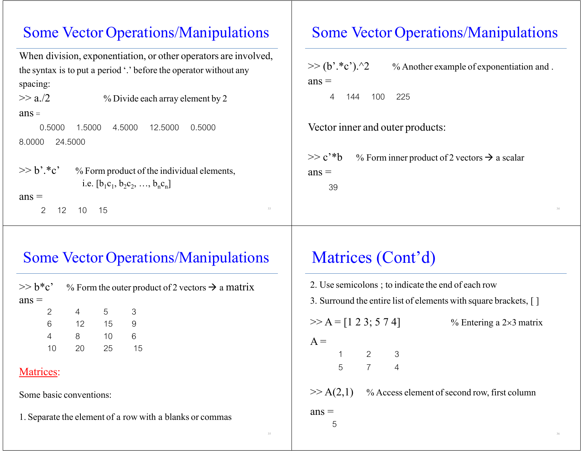#### Some Vector Operations/Manipulations

```
When division, exponentiation, or other operators are involved,
the syntax is to put a period '.' before the operator without any
spacing:
>> a/2 % Divide each array element by 2
ans = 0.5000 1.5000 4.5000 12.5000 0.50008.0000 24.5000
>> b'.*c'
         % Form product of the individual elements,
             i.e. [b_1c_1, b_2c_2, ..., b_nc_n]ans = 2 12 10 155^{33}
```
#### Some Vector Operations/Manipulations

 $>> (b'.*c').^2$  % Another example of exponentiation and .  $ans =$ 

4 144 100 225

Vector inner and outer products:

 $>> c$ <sup>\*</sup>b % Form inner product of 2 vectors  $\rightarrow$  a scalar  $ans =$ 39

#### Some Vector Operations/Manipulations

|         |   |          |     | $\gg b^*c^*$ % Form the outer product of 2 vectors $\rightarrow$ a matrix |
|---------|---|----------|-----|---------------------------------------------------------------------------|
| $ans =$ |   |          |     |                                                                           |
|         |   | 2 4 5 3  |     |                                                                           |
|         |   | 6 12 15  |     |                                                                           |
|         | 4 | 8 10     | - 6 |                                                                           |
|         |   | 10 20 25 |     | 15                                                                        |
|         |   |          |     |                                                                           |

#### Matrices:

Some basic conventions:

1. Separate the element of a row with a blanks or commas

# Matrices (Cont'd)

| 2. Use semicolons; to indicate the end of each row               |                         |                       |  |                                                           |
|------------------------------------------------------------------|-------------------------|-----------------------|--|-----------------------------------------------------------|
| 3. Surround the entire list of elements with square brackets, [] |                         |                       |  |                                                           |
|                                                                  | $>> A = [1 2 3; 5 7 4]$ |                       |  | $%$ Entering a 2×3 matrix                                 |
| $A =$                                                            |                         |                       |  |                                                           |
|                                                                  |                         | $1 \qquad 2 \qquad 3$ |  |                                                           |
|                                                                  |                         | $5 \qquad 7 \qquad 4$ |  |                                                           |
|                                                                  |                         |                       |  | $\gg$ A(2,1) % Access element of second row, first column |
| $ans =$                                                          | 5                       |                       |  |                                                           |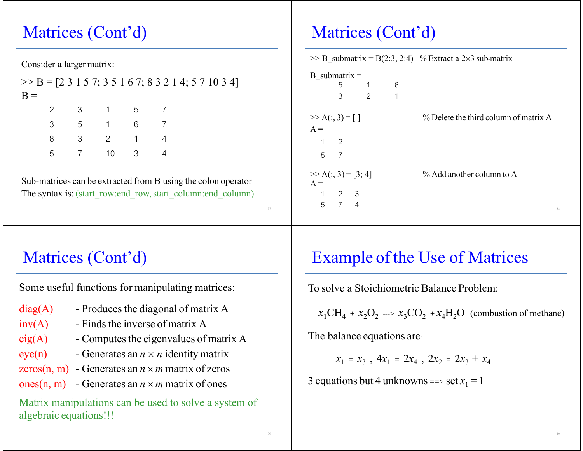# Matrices (Cont'd)

Consider a larger matrix:

|       |               |          |       |           |  | $\Rightarrow$ B = [2 3 1 5 7; 3 5 1 6 7; 8 3 2 1 4; 5 7 10 3 4] |
|-------|---------------|----------|-------|-----------|--|-----------------------------------------------------------------|
| $B =$ |               |          |       |           |  |                                                                 |
|       |               |          |       | 2 3 1 5 7 |  |                                                                 |
|       | $\mathcal{S}$ |          | 5 1 6 |           |  |                                                                 |
|       |               |          |       | 3 2 1     |  |                                                                 |
|       |               | 5 ( 10 3 |       |           |  |                                                                 |

Sub-matrices can be extracted from B using the colon operator The syntax is: (start\_row:end\_row, start\_column:end\_column)

# Matrices (Cont'd)

| $\gg$ B submatrix = B(2:3, 2:4) % Extract a 2×3 sub-matrix |                     |                        |              |                                       |  |
|------------------------------------------------------------|---------------------|------------------------|--------------|---------------------------------------|--|
| B submatrix $=$                                            |                     |                        |              |                                       |  |
|                                                            |                     | 5 1                    | 6            |                                       |  |
|                                                            | 3                   | $\overline{2}$         | $\mathbf{1}$ |                                       |  |
| $>> A(:, 3) = [ ]$                                         |                     |                        |              | % Delete the third column of matrix A |  |
| $A =$                                                      |                     |                        |              |                                       |  |
|                                                            | $1 \quad 2$         |                        |              |                                       |  |
|                                                            | 5 7                 |                        |              |                                       |  |
|                                                            |                     | $\gg A(:, 3) = [3; 4]$ |              | $\%$ Add another column to A          |  |
| $A =$                                                      |                     |                        |              |                                       |  |
|                                                            | $1 \quad 2 \quad 3$ |                        |              |                                       |  |
|                                                            | 5 7 4               |                        |              | 38                                    |  |

# Matrices (Cont'd)

Some useful functions for manipulating matrices:

- $diag(A)$  Produces the diagonal of matrix A
- $inv(A)$  Finds the inverse of matrix A
- $eig(A)$  Computes the eigenvalues of matrix A
- $eye(n)$  Generates an  $n \times n$  identity matrix
- zeros(n, m) Generates an  $n \times m$  matrix of zeros
- ones(n, m) Generates an  $n \times m$  matrix of ones

Matrix manipulations can be used to solve a system of algebraic equations!!!

# Example of the Use of Matrices

To solve a Stoichiometric Balance Problem:

 $x_1CH_4 + x_2O_2 \longrightarrow x_3CO_2 + x_4H_2O$  (combustion of methane)

The balance equations are:

 $x_1 = x_3$ ,  $4x_1 = 2x_4$ ,  $2x_2 = 2x_3 + x_4$ 

3 equations but 4 unknowns ==>  $\text{set } x_1 = 1$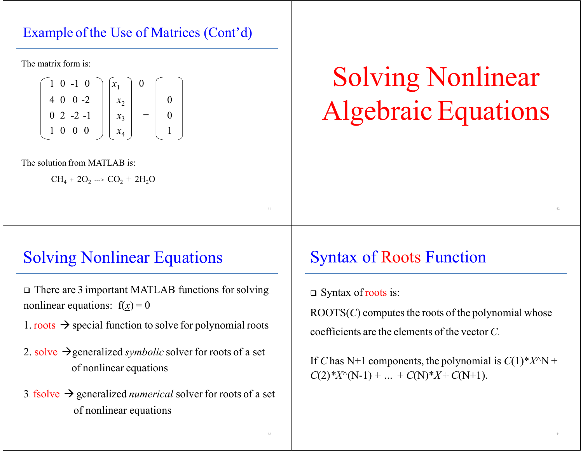#### Example of the Use of Matrices (Cont'd)

The matrix form is:

$$
\begin{bmatrix} 1 & 0 & -1 & 0 \ 4 & 0 & 0 & -2 \ 0 & 2 & -2 & -1 \ 1 & 0 & 0 & 0 \end{bmatrix} \begin{bmatrix} x_1 \ x_2 \ x_3 \ x_4 \end{bmatrix} = \begin{bmatrix} 0 \ 0 \ 1 \end{bmatrix}
$$

The solution from MATLAB is:

 $\rm CH_{4}$  + 2O<sub>2</sub> ---> CO<sub>2</sub> + 2H<sub>2</sub>O

# Solving Nonlinear Algebraic Equations

# Solving Nonlinear Equations

- There are 3 important MATLAB functions forsolving nonlinear equations:  $f(x) = 0$
- 1. roots  $\rightarrow$  special function to solve for polynomial roots
- 2. solve generalized *symbolic* solver for roots of a set of nonlinear equations
- 3. fsolve generalized *numerical* solver for roots of a set of nonlinear equations

# Syntax of Roots Function

□ Syntax of roots is:

 $\text{ROOTS}(C)$  computes the roots of the polynomial whose coefficients are the elements of the vector *C*.

If *C* has N+1 components, the polynomial is *C*(1)\**X*^N <sup>+</sup>  $C(2)$ \**X*<sup> $\wedge$ </sup>(N-1) + *…* + *C*(N)\**X* + *C*(N+1).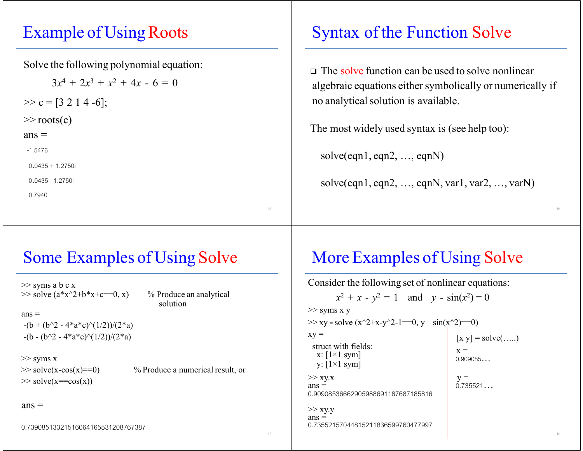## Example of Using Roots

Solve the following polynomial equation:

 $3x^4 + 2x^3 + x^2 + 4x - 6 = 0$  $>> c = [3 2 1 4 -6];$ >> roots(c)  $ans =$  -1.5476  $0.0435 + 1.2750i$  0.0435 - 1.2750i 0.7940

# Syntax of the Function Solve

 The solve function can be used to solve nonlinear algebraic equations either symbolically or numerically if no analytical solution is available.

The most widely used syntax is (see help too):

solve(eqn1, eqn2, …, eqnN)

solve(eqn1, eqn2,  $\dots$ , eqnN, var1, var2,  $\dots$ , varN)

# Some Examples of Using Solve

>> syms a b c x  $\gg$  solve (a\*x^2+b\*x+c==0, x) % Produce an analytical

solution

 $ans =$  $-(b + (b^2 - 4*a*c)^(1/2))/2*a$  $-(b - (b^2 - 4*a*c)^{(1/2)})/(2*a)$ 

>> syms <sup>x</sup>  $\gg$  solve(x==cos(x))

 $\gg$  solve(x-cos(x)==0) % Produce a numerical result, or

#### $ans =$

0.73908513321516064165531208767387

## More Examples of Using Solve

Consider the following set of nonlinear equations:  $x^2 + x - y^2 = 1$  and  $y - \sin(x^2) = 0$ >> syms x y  $\gg$  xy = solve (x^2+x-y^2-1==0, y – sin(x^2)==0)  $xy =$  [x y] = solve(....) struct with fields: x =  $x : [1 \times 1 \text{ sym}]$   $x = 0.909085...$ y:  $[1 \times 1$  sym]  $>> xy.x$   $y =$  $ans =$  0.735521... 0.90908536662905988691187687185816 $>>$  xy.y  $ans =$ 0.73552157044815211836599760477997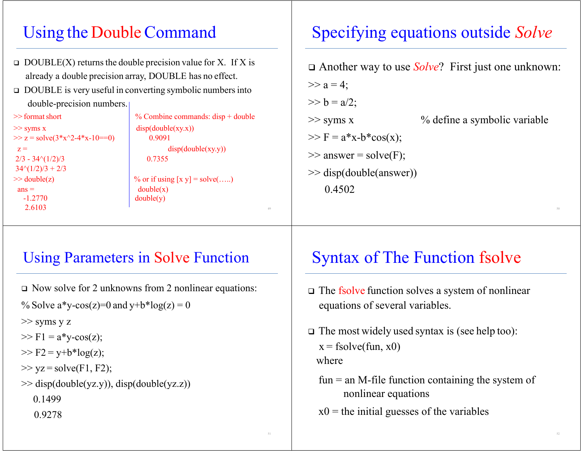# Using the DoubleCommand

- $\Box$  DOUBLE(X) returns the double precision value for X. If X is already a double precision array, DOUBLE has no effect.
- DOUBLE is very useful in converting symbolic numbersinto double-precision numbers.

>> format short  $\Rightarrow$  syms x disp(double(xy.x))  $\gg$  z = solve(3\*x^2-4\*x-10==0) 0.9091  $2/3 - 34\sqrt{1/2}/3$  0.7355  $34\frac{(1/2)}{3} + 2/3$  $ans =$  double(x) -1.27702.6103 $\overline{\mathbf{3}}$ 

% Combine commands: disp + double  $z =$  disp(double(xy.y))  $\gg$  double(z)  $\qquad$   $\%$  or if using [x y] = solve(.....) double(y)

# Specifying equations outside *Solve*

 Another way to use *Solve*? First just one unknown:  $>> a = 4$ ;  $>> b = a/2$ ;  $\gg$  syms x  $\%$  define a symbolic variable  $>> F = a * x-b * cos(x);$  $\gg$  answer = solve(F); >> disp(double(answer)) 0.4502

### Using Parameters in Solve Function

- Now solve for 2 unknowns from 2 nonlinear equations:
- % Solve a\*y-cos(z)=0 and y+b\*log(z) = 0

>> syms y z

- $>> F1 = a * v-cos(z);$
- $>> F2 = y + b * log(z);$
- $>>$  yz = solve(F1, F2);

```
\gg disp(double(yz.y)), disp(double(yz.z))
```
0.1499

0.9278

# Syntax of The Function fsolve

- The fsolve function solves a system of nonlinear equations of several variables.
- The most widely used syntax is (see help too):  $x =$  fsolve(fun,  $x0$ ) where
	- $fun = an M$ -file function containing the system of nonlinear equations
	- $x0$  = the initial guesses of the variables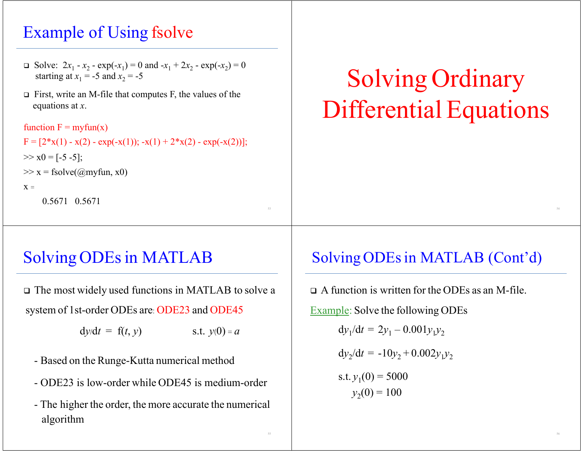# Example of Using fsolve

- $\Box$  Solve:  $2x_1 x_2 \exp(-x_1) = 0$  and  $-x_1 + 2x_2 \exp(-x_2) = 0$ starting at  $x_1 = -5$  and  $x_2 = -5$
- First, write an M-file that computes F, the values of the equations at *<sup>x</sup>*.

```
function F = myfun(x)F = [2*x(1) - x(2) - exp(-x(1)); -x(1) + 2*x(2) - exp(-x(2))];>> x0 = [-5 -5];\gg x = fsolve((\hat{\omega}myfun, x0)
X =0.5671 0.5671
```
# Solving Ordinary Differential Equations

# Solving ODEs in MATLAB

 The most widely used functions in MATLAB to solve <sup>a</sup> system of 1st-order ODEs are: ODE23 and ODE45

 $dy/dt = f(t, y)$  s.t.  $y(0) = a$ 

- Based on the Runge-Kutta numerical method
- ODE23 is low-order while ODE45 is medium-order
- The higher the order, the more accurate the numerical algorithm

### Solving ODEs in MATLAB (Cont'd)

 A function is written for the ODEs as an M-file. Example: Solve the following ODEs  $dy_1/dt = 2y_1 - 0.001y_1y_2$  $dy_2/dt = -10y_2 + 0.002y_1y_2$ s.t.  $y_1(0) = 5000$  $y_2(0) = 100$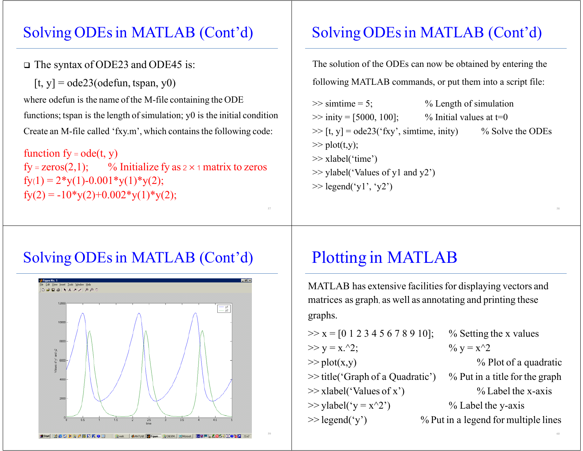#### Solving ODEs in MATLAB (Cont'd)

#### The syntax of ODE23 and ODE45 is:

 $[t, y] = ode23(odefun, tspan, y0)$ 

where odefun is the name of the M-file containing the ODE functions; tspan is the length of simulation;  $y0$  is the initial condition Create an M-file called 'fxy.m', which contains the following code:

function  $fy = ode(t, y)$ fy = zeros(2,1); % Initialize fy as  $2 \times 1$  matrix to zeros  $fy(1) = 2*y(1)-0.001*y(1)*y(2);$  $fy(2) = -10*y(2)+0.002*y(1)*y(2);$ 

## Solving ODEs in MATLAB (Cont'd)

The solution of the ODEs can now be obtained by entering the following MATLAB commands, or put them into a script file:

 $\gg$  simtime = 5;  $\%$  Length of simulation  $\gg$  inity = [5000, 100]; % Initial values at t=0  $\gg$  [t, y] = ode23('fxy', simtime, inity) % Solve the ODEs  $\gg$  plot(t,y); >> xlabel('time') >> ylabel('Values of y1 and y2')  $\gg$  legend('y1', 'y2')

#### Solving ODEs in MATLAB (Cont'd)



# Plotting in MATLAB

MATLAB has extensive facilities for displaying vectors and matrices as graph, as well as annotating and printing these graphs.

- $>> x = [0 1 2 3 4 5 6 7 8 9 10];$  % Setting the x values  $>> y = x.^{2};$  %  $y = x^{2};$  $\gg$  plot(x,y)
- 
- 
- 
- $\gg$  legend('v')
- - $%$  Plot of a quadratic
- >> title('Graph of a Quadratic') % Put in a title for the graph >> xlabel('Values of x')  $\%$  Label the x-axis
- $\gg$  ylabel('y = x^2')  $\%$  Label the y-axis
	- $%$  Put in a legend for multiple lines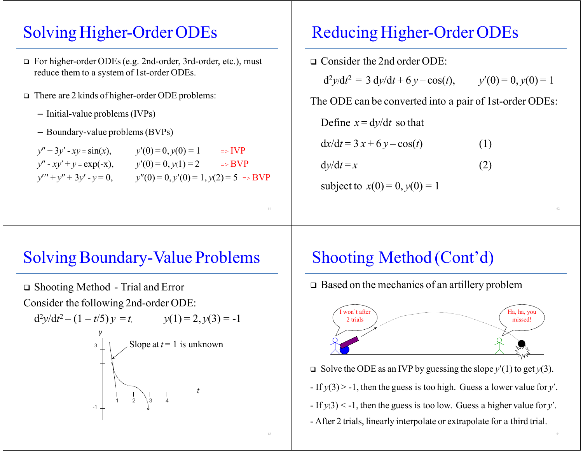## Solving Higher-Order ODEs

- For higher-order ODEs(e.g. 2nd-order, 3rd-order, etc.), must reduce them to a system of 1st-order ODEs.
- There are 2 kinds of higher-order ODE problems:
	- Initial-value problems(IVPs)
	- Boundary-value problems(BVPs)

| $y'' + 3y' - xy = sin(x),$   | $y'(0)=0, y(0)=1$                       | $\Rightarrow IVP$ |
|------------------------------|-----------------------------------------|-------------------|
| $y'' - xy' + y = \exp(-x),$  | $y'(0) = 0, y(1) = 2$                   | $\Rightarrow BVP$ |
| $y''' + y'' + 3y' - y = 0$ , | $y''(0) = 0, y'(0) = 1, y(2) = 5 = BVP$ |                   |

# Reducing Higher-Order ODEs

| $\Box$ Consider the 2nd order ODE:                      |                       |
|---------------------------------------------------------|-----------------------|
| $d^2y/dt^2 = 3 dy/dt + 6 y - cos(t)$ ,                  | $y'(0) = 0, y(0) = 1$ |
| The ODE can be converted into a pair of 1st-order ODEs: |                       |
| Define $x = dy/dt$ so that                              |                       |
| $dx/dt = 3x + 6y - cos(t)$                              | (1)                   |
| $dy/dt = x$                                             | (2)                   |
|                                                         |                       |

subject to  $x(0) = 0, y(0) = 1$ 

### Solving Boundary-Value Problems

 Shooting Method - Trial and Error Consider the following 2nd-order ODE:



# Shooting Method (Cont'd)

Based on the mechanics of an artillery problem



- Solve the ODE as an IVP by guessing the slope *y*(1) to ge<sup>t</sup> *y*(3).
- If *y*(3) > -1, then the guess is too high. Guess a lower value for *y*.
- If *y*(3) < -1, then the guess is too low. Guess a higher value for *y*.
- After 2 trials, linearly interpolate or extrapolate for a third trial.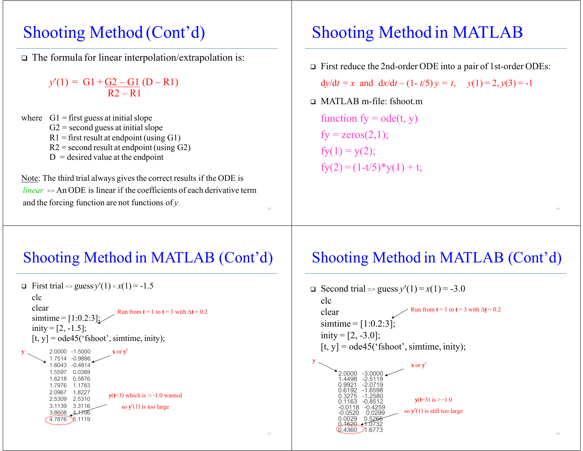### Shooting Method (Cont'd)

The formula for linear interpolation/extrapolation is:

 $y'(1) = G1 + G2 - G1 (D - R1)$ R2 – R1

where  $GI = first guess at initial slope$  $G2$  = second guess at initial slope R1 = first result at endpoint (using G1) R2 = second result at endpoint (using G2)  $D =$  desired value at the endpoint

Note: The third trial always gives the correct results if the ODE is *linear* => An ODE is linear if the coefficients of each derivative term and the forcing function are not functions of *y*.

# Shooting Method in MATLAB

First reduce the 2nd-order ODE into a pair of 1st-order ODEs:

 $dy/dt = x$  and  $dx/dt - (1 - t/5)y = t$ ,  $y(1) = 2, y(3) = -1$ 

MATLAB m-file: fshoot.m

function  $fy = ode(t, y)$  $fy = zeros(2,1);$  $fy(1) = y(2);$  $f_{\rm V}(2) = (1-t/5)^*$ y $(1) + t$ ;

### Shooting Method in MATLAB (Cont'd)

```
 First trial => guess y(1) =x(1) = -1.5
   clcclearsimtime = [1:0.2:3];
  inity = [2, -1.5];
   [t, y] = ode45('fshoot', simtime, inity);y \times 2.0000 -1.5000 x or y'
\sim 1.7514 -0.9886
          1.6043 -0.4814 1.5597 0.0389 1.6218 0.5876 1.7976 1.17831.8227
          2.5309 2.5310 3.1139 3.3116 3.8608 4.1706
         4.7876 5.1119Run from t = 1 to t = 3 with \Delta t = 0.2y(t=3) which is > -1.0 wanted
                                 so \mathbf{v}'(1) is too large
```
#### Shooting Method in MATLAB (Cont'd)

so  $y'(1)$  is still too large

**□** Second trial => guess  $y'(1) = x(1) = -3.0$ clcclearsimtime = [1:0.2:3]; inity =  $[2, -3.0]$ ;  $[t, y] = ode45('fshoot', simtime, inity);$ 2.0000 -3.00001.4498 0.9921 0.6192 0.3275 -1.2580Run from  $t = 1$  to  $t = 3$  with  $\Delta t = 0.2$ **y <sup>x</sup>**or**y y**(**t**=3) is > -1.0

 $0.1163$  -0.0118 -0.4259 -0.0520 0.0299 0.0029 0.52660<del>.1620 1.</del>0732  $0.4360$  21.6773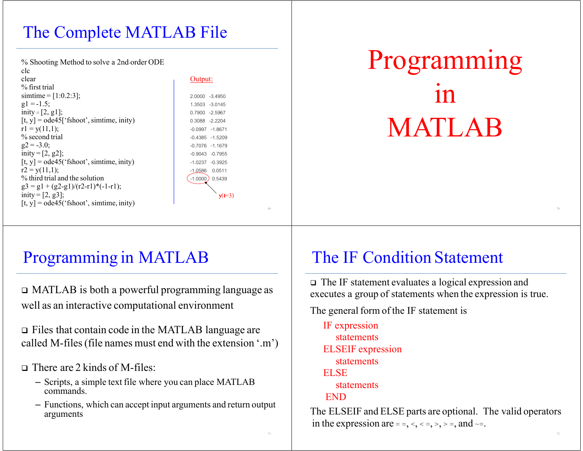# The Complete MATLAB File

% Shooting Method to solve a 2nd-order ODE clcclear Output: % first trial  $\text{simtime} = [1:0.2:3];$  2.0000 -3.4950  $g1 = -1.5;$  1.3503 -3.0145  $\text{inity} = [2, g1];$  0.7900 -2.5967  $[t, y] = ode45['fshoot', simtime, inity)$  0.3088 -2.2204  $r1 = y(11,1);$  -0.0997 -1.8671 % second trial  $\sim$  0.4385 -1.5209  $g2 = -3.0;$   $-0.7076 -1.1679$  $\text{inity} = [2, g2];$  -0.9043 -0.7955  $[t, y] = ode45('fshoot', simtime, inity)$  -1.0237 -0.3925  $r2 = y(11,1);$  -1.0586 0.0511 % third trial and the solution  $\left( \begin{array}{c} -1.0000 \end{array} \right)$  0.5439  $g3 = g1 + (g2-g1)/(r2-r1)*(-1-r1);$ inity =  $[2, g3]$ ;  $[t, y] = ode45('fshoot', simtime, inity)$ 

**<sup>y</sup>**(**t**=3)

# Programming inMATLAB

# Programming in MATLAB

 MATLAB is both a powerful programming language as well as an interactive computational environment

 Files that contain code in the MATLAB language are called M-files(file names must end with the extension '.m')

There are 2 kinds of M-files:

- Scripts, a simple text file where you can place MATLAB commands.
- Functions, which can accep<sup>t</sup> input arguments and return output arguments

### The IF Condition Statement

 The IF statement evaluates a logical expression and executes a group of statements when the expression is true.

The general form of the IF statement is

IF expression statementsELSEIF expression statementsELSEstatementsEND

The ELSEIF and ELSE parts are optional. The valid operators in the expression are = =, <, < =, >, > =, and  $\sim$ =.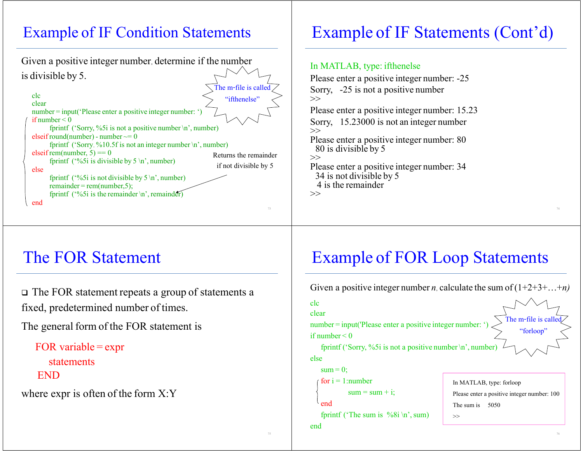### Example of IF Condition Statements

Given a positive integer number, determine if the number is divisible by 5. clcclearnumber <sup>=</sup> input('Please enter a positive integer number: ') if number < 0fprintf ('Sorry, %5i is not a positive number \n', number) elseif round(number) - number  $\sim=0$ fprintf ('Sorry, %10.5f is not an integer number \n', number)  $e$ lseif rem(number, 5) == 0 fprintf ( $\frac{6}{5}$ i is divisible by 5 \n', number) elsefprintf ( $\frac{6}{5}$  is not divisible by  $5 \n\times 7$ , number) remainder <sup>=</sup> rem(number,5); fprintf ( $\frac{6}{5}$ i is the remainder \n', remainder) endReturns the remainder if not divisible by 5 The m-file is called "ifthenelse"

# Example of IF Statements (Cont'd)

#### In MATLAB, type: ifthenelse

Please enter a positive integer number: -25 Sorry, -25 is not a positive number  $\gg$ Please enter a positive integer number: 15.23 Sorry, 15.23000 is not an integer number  $\gg$ Please enter a positive integer number: 80 80 is divisible by 5 >>Please enter a positive integer number: 34 34 is not divisible by 5 4 is the remainder  $\gg$ 

### The FOR Statement

 The FOR statement repeats a group of statements a fixed, predetermined number of times.

The general form of the FOR statement is

```
FOR variable = expr
  statementsEND
```
where expr is often of the form X:Y

# Example of FOR Loop Statements

Given a positive integer number *n*, calculate the sum of  $(1+2+3+\ldots+n)$ clcclearnumber <sup>=</sup> input('Please enter a positive integer number: ') if number < 0fprintf ('Sorry, %5i is not a positive number  $\ln$ ', number elsesum = 0; for i = 1:number  $sum = sum + i;$ endfprintf ('The sum is  $\%8i \n\infty$ ', sum) endThe m-file is call "forloop" In MATLAB, type: forloop Please enter a positive integer number: 100 The sum is 5050 >>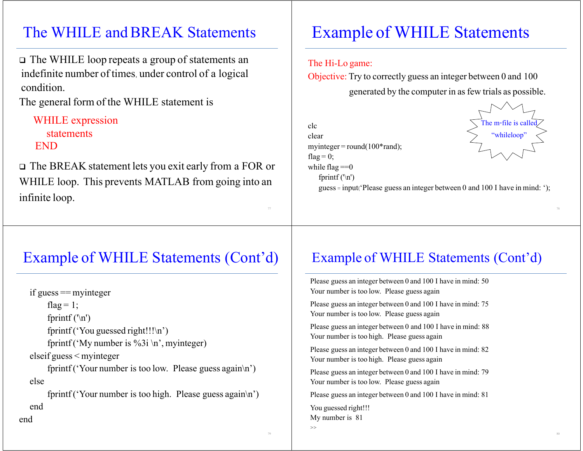#### The WHILE and BREAK Statements

 The WHILE loop repeats a group of statements an indefinite number of times, under control of a logical condition.

The general form of the WHILE statement is

WHILE expression statementsEND

end

 The BREAK statement lets you exit early from a FOR or WHILE loop. This prevents MATLAB from going into an infinite loop.

# Example of WHILE Statements

#### The Hi-Lo game:

Objective: Try to correctly guess an integer between 0 and 100 generated by the computer in asfew trials as possible.

clcclearmyinteger <sup>=</sup> round(100\*rand); flag  $= 0$ ; while flag  $==0$ fprintf  $('n')$ 



guess = input( $P$ lease guess an integer between 0 and 100 I have in mind: ');

### Example of WHILE Statements (Cont'd)

if guess == myinteger flag =  $1$ ; fprintf  $('n')$ fprintf ('You guessed right!!! $\ln$ ') fprintf ('My number is %3i \n', myinteger) elseif guess <sup>&</sup>lt; myinteger fprintf ('Your number is too low. Please guess again\n') else

fprintf ('Your number is too high. Please guess again\n') end

#### Example of WHILE Statements (Cont'd)

Please guess an integer between 0 and 100 I have in mind: 50 Your number is too low. Please guess again Please guess an integer between 0 and 100 I have in mind: 75 Your number is too low. Please guess again Please guess an integer between 0 and 100 I have in mind: 88 Your number is too high. Please guess again Please guess an integer between 0 and 100 I have in mind: 82 Your number is too high. Please guess again Please guess an integer between 0 and 100 I have in mind: 79 Your number is too low. Please guess again Please guess an integer between 0 and 100 I have in mind: 81 You guessed right!!! My number is 81 >>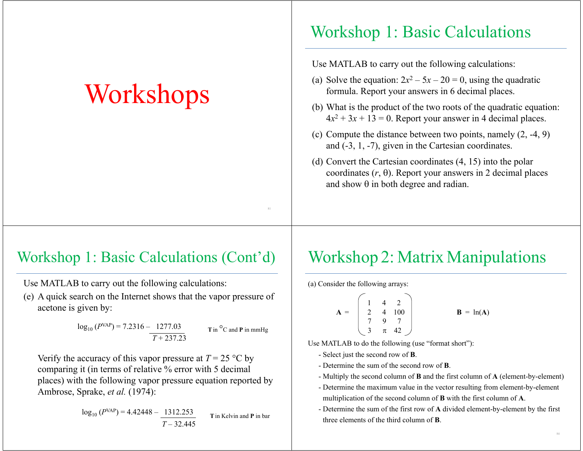# **Workshops**

### Workshop 1: Basic Calculations

Use MATLAB to carry out the following calculations:

- (a) Solve the equation:  $2x^2 5x 20 = 0$ , using the quadratic formula. Report your answers in 6 decimal places.
- (b) What is the product of the two roots of the quadratic equation:  $4x^2 + 3x + 13 = 0$ . Report your answer in 4 decimal places.
- (c) Compute the distance between two points, namely (2, -4, 9) and (-3, 1, -7), given in the Cartesian coordinates.
- (d) Convert the Cartesian coordinates (4, 15) into the polar coordinates  $(r, \theta)$ . Report your answers in 2 decimal places and show  $\theta$  in both degree and radian.

### Workshop 1: Basic Calculations (Cont'd)

Use MATLAB to carry out the following calculations:

(e) A quick search on the Internet shows that the vapor pressure of acetone is given by:

$$
log_{10} (P^{VAP}) = 7.2316 - \frac{1277.03}{T + 237.23}
$$
 **T** in °C and **P** in mmHg

Verify the accuracy of this vapor pressure at  $T = 25$  °C by comparing it (in terms of relative % error with 5 decimal places) with the following vapor pressure equation reported by Ambrose, Sprake, *et al.* (1974):

$$
log_{10} (P^{VAP}) = 4.42448 - \frac{1312.253}{T - 32.445}
$$
 **T** in Kelvin and **P** in bar

# Workshop 2: Matrix Manipulations

(a) Consider the following arrays:

$$
\mathbf{A} = \begin{bmatrix} 1 & 4 & 2 \\ 2 & 4 & 100 \\ 7 & 9 & 7 \\ 3 & \pi & 42 \end{bmatrix} \qquad \qquad \mathbf{B} = \ln(\mathbf{A})
$$

Use MATLAB to do the following (use "format short"):

- Select just the second row of **B**.
- Determine the sum of the second row of **B**.
- Multiply the second column of **B** and the first column of **A** (element-by-element)
- Determine the maximum value in the vector resulting from element-by-element multiplication of the second column of **B** with the first column of **A**.
- Determine the sum of the first row of **A** divided element-by-element by the first three elements of the third column of **B**.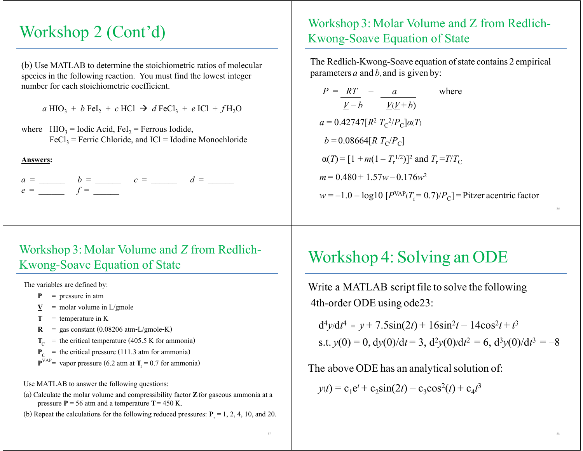(b) Use MATLAB to determine the stoichiometric ratios of molecular species in the following reaction. You must find the lowest integer number for each stoichiometric coefficient.

 $a \text{ HIO}_3 + b \text{ Fel}_2 + c \text{ HCl} \rightarrow d \text{FeCl}_3 + e \text{ ICl} + f \text{H}_2\text{O}$ 

where  $HIO_3 = I$ odic Acid, FeI<sub>2</sub> = Ferrous Iodide,  $\text{FeCl}_3$  = Ferric Chloride, and ICl = Idodine Monochloride

#### **Answers:**

 $a =$   $b =$   $c =$   $d =$  $e =$   $f =$ 

#### Workshop 3: Molar Volume and *Z* from Redlich-Kwong-Soave Equation of State

The variables are defined by:

**P** = pressure in atm

- $\underline{\mathbf{V}}$  = molar volume in L/gmole
- **T** = temperature in K
- $R = gas constant (0.08206 atm-L/gmole-K)$
- $T_{\text{C}}$  = the critical temperature (405.5 K for ammonia)
- $P_{\rm C}$  = the critical pressure (111.3 atm for ammonia)
- $\mathbf{P}^{VAP}$  vapor pressure (6.2 atm at **T**<sub>r</sub> = 0.7 for ammonia)

Use MATLAB to answer the following questions:

(a) Calculate the molar volume and compressibility factor **Z**for gaseous ammonia at a pressure  $P = 56$  atm and a temperature  $T = 450$  K.

(b) Repeat the calculations for the following reduced pressures:  $P_r = 1, 2, 4, 10,$  and 20.

# Workshop 2 (Cont'd)<br>
Workshop 3: Molar Volume and Z from Redlich-<br>
Kwong-Soave Equation of State

The Redlich-Kwong-Soave equation of state contains 2 empirical parameters  $a$  and  $b$ , and is given by:

$$
P = \frac{RT}{V - b} - \frac{a}{V(V + b)}
$$
 where  
\n
$$
a = 0.42747[R^2 T_c^2/P_c] \alpha(T)
$$
  
\n
$$
b = 0.08664[R T_c/P_c]
$$
  
\n
$$
\alpha(T) = [1 + m(1 - T_r^{1/2})]^2 \text{ and } T_r = T/T_c
$$
  
\n
$$
m = 0.480 + 1.57w - 0.176w^2
$$
  
\n
$$
w = -1.0 - \log 10 [P^{VAP}(T_r = 0.7)/P_c] = \text{Pitzer acentric factor}
$$

### Workshop 4: Solving an ODE

Write a MATLAB script file to solve the following 4th-order ODE using ode23:

$$
d^{4}y/dt^{4} = y + 7.5\sin(2t) + 16\sin^{2}t - 14\cos^{2}t + t^{3}
$$
  
s.t.  $y(0) = 0$ ,  $dy(0)/dt = 3$ ,  $d^{2}y(0)/dt^{2} = 6$ ,  $d^{3}y(0)/dt^{3} = -8$ 

The above ODE has an analytical solution of:

 $y(t) = c_1 e^t + c_2 \sin(2t) - c_3 \cos^2(t) + c_4 t^3$